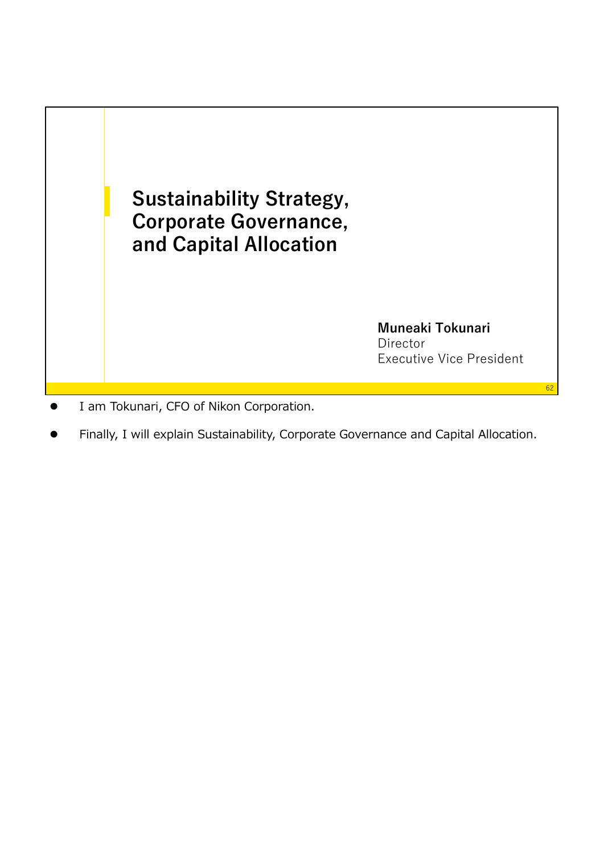

- I am Tokunari, CFO of Nikon Corporation.
- Finally, I will explain Sustainability, Corporate Governance and Capital Allocation.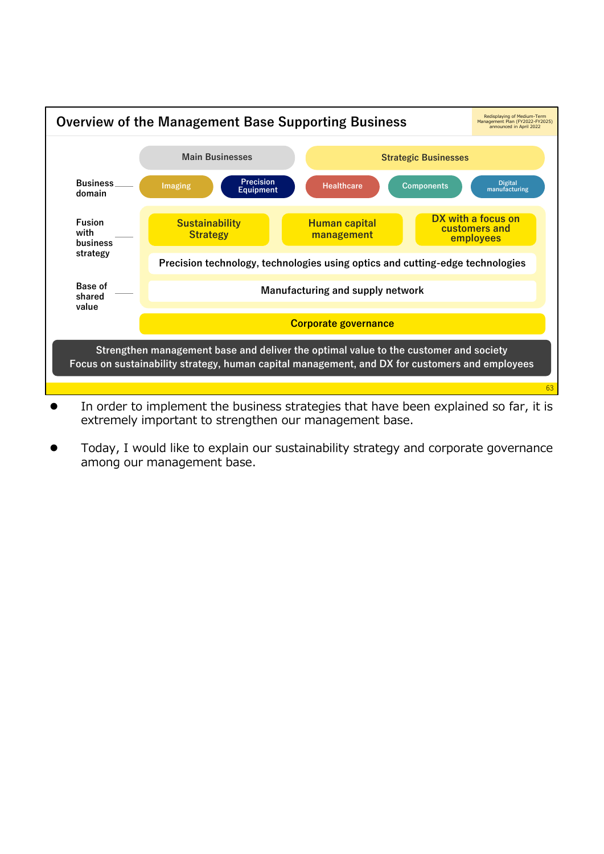

- In order to implement the business strategies that have been explained so far, it is extremely important to strengthen our management base.
- Today, I would like to explain our sustainability strategy and corporate governance among our management base.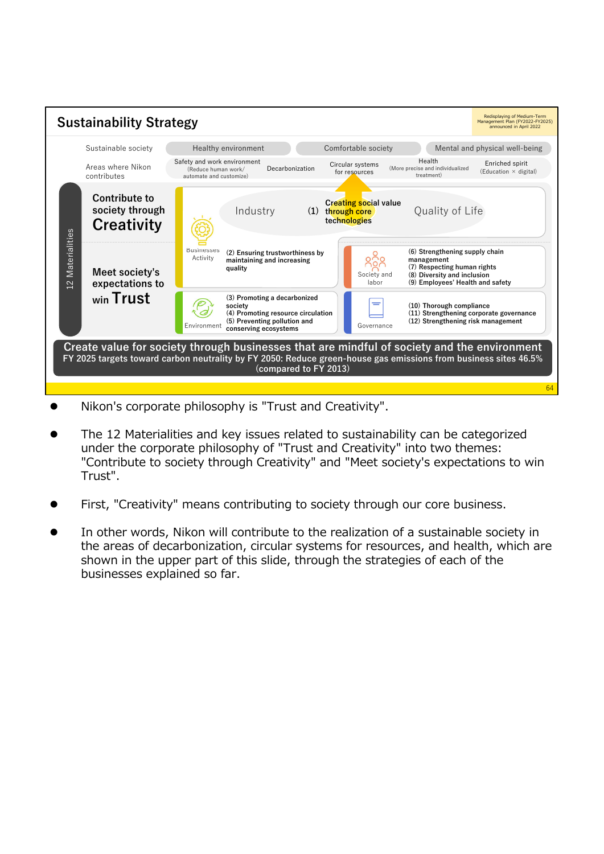

- Nikon's corporate philosophy is "Trust and Creativity".
- The 12 Materialities and key issues related to sustainability can be categorized under the corporate philosophy of "Trust and Creativity" into two themes: "Contribute to society through Creativity" and "Meet society's expectations to win Trust".
- First, "Creativity" means contributing to society through our core business.
- In other words, Nikon will contribute to the realization of a sustainable society in the areas of decarbonization, circular systems for resources, and health, which are shown in the upper part of this slide, through the strategies of each of the businesses explained so far.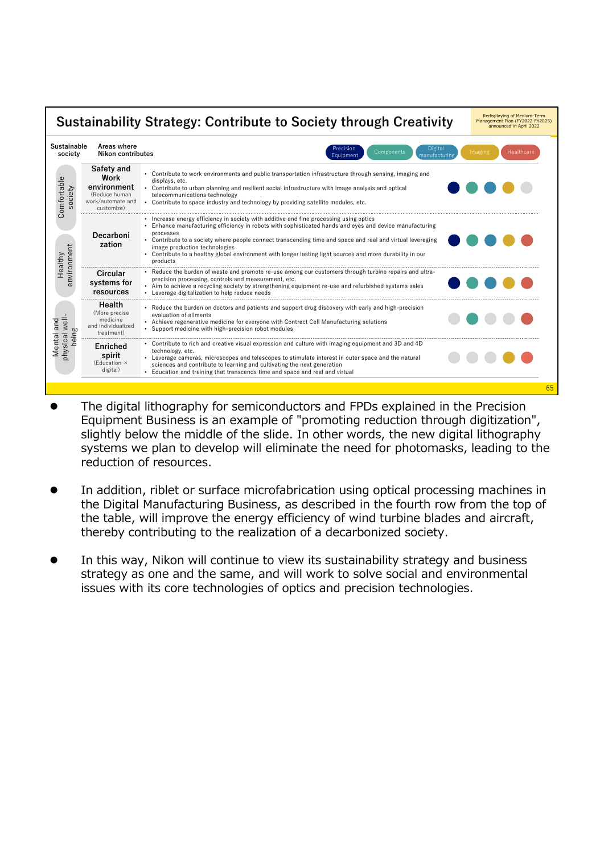

- The digital lithography for semiconductors and FPDs explained in the Precision Equipment Business is an example of "promoting reduction through digitization", slightly below the middle of the slide. In other words, the new digital lithography systems we plan to develop will eliminate the need for photomasks, leading to the reduction of resources.
- In addition, riblet or surface microfabrication using optical processing machines in the Digital Manufacturing Business, as described in the fourth row from the top of the table, will improve the energy efficiency of wind turbine blades and aircraft, thereby contributing to the realization of a decarbonized society.
- In this way, Nikon will continue to view its sustainability strategy and business strategy as one and the same, and will work to solve social and environmental issues with its core technologies of optics and precision technologies.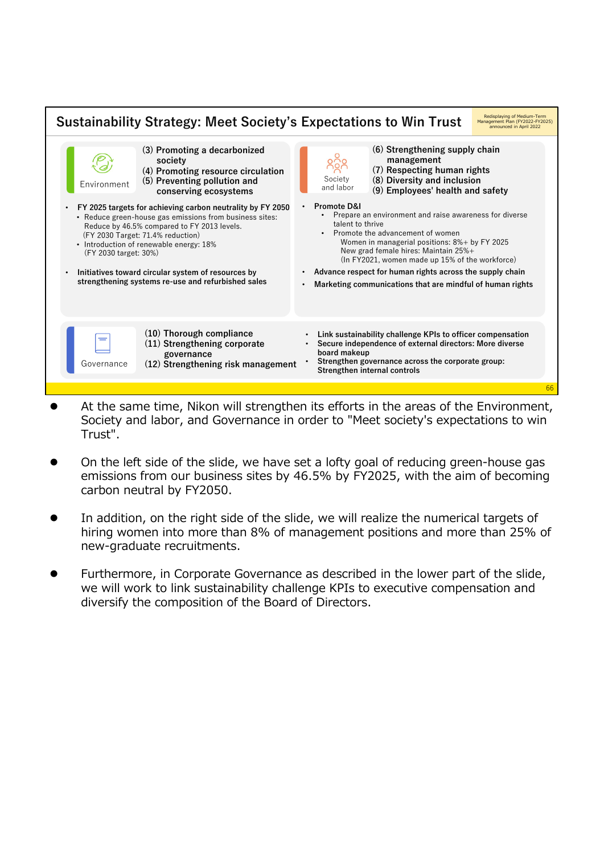| <b>Sustainability Strategy: Meet Society's Expectations to Win Trust</b>                                                                                                                                                                                                                                                                                                                  | Redisplaying of Medium-Term<br>Management Plan (FY2022-FY2025)<br>announced in April 2022                                                                                                                                                                                                                                                                                                                                                 |  |
|-------------------------------------------------------------------------------------------------------------------------------------------------------------------------------------------------------------------------------------------------------------------------------------------------------------------------------------------------------------------------------------------|-------------------------------------------------------------------------------------------------------------------------------------------------------------------------------------------------------------------------------------------------------------------------------------------------------------------------------------------------------------------------------------------------------------------------------------------|--|
| (3) Promoting a decarbonized<br>society<br>(4) Promoting resource circulation<br>(5) Preventing pollution and<br>Environment<br>conserving ecosystems                                                                                                                                                                                                                                     | (6) Strengthening supply chain<br>management<br>$0^{\circ}$<br>00 گ<br>(7) Respecting human rights<br>Society<br>(8) Diversity and inclusion<br>and labor<br>(9) Employees' health and safety                                                                                                                                                                                                                                             |  |
| FY 2025 targets for achieving carbon neutrality by FY 2050<br>• Reduce green-house gas emissions from business sites:<br>Reduce by 46.5% compared to FY 2013 levels.<br>(FY 2030 Target: 71.4% reduction)<br>• Introduction of renewable energy: 18%<br>(FY 2030 target: 30%)<br>Initiatives toward circular system of resources by<br>strengthening systems re-use and refurbished sales | Promote D&I<br>$\bullet$<br>Prepare an environment and raise awareness for diverse<br>talent to thrive<br>Promote the advancement of women<br>Women in managerial positions: 8%+ by FY 2025<br>New grad female hires: Maintain 25%+<br>(In FY2021, women made up 15% of the workforce)<br>Advance respect for human rights across the supply chain<br>$\bullet$<br>Marketing communications that are mindful of human rights<br>$\bullet$ |  |
| (10) Thorough compliance<br>(11) Strengthening corporate<br>governance<br>(12) Strengthening risk management<br>Governance                                                                                                                                                                                                                                                                | Link sustainability challenge KPIs to officer compensation<br>Secure independence of external directors: More diverse<br>board makeup<br>Strengthen governance across the corporate group:<br>Strengthen internal controls                                                                                                                                                                                                                |  |
|                                                                                                                                                                                                                                                                                                                                                                                           |                                                                                                                                                                                                                                                                                                                                                                                                                                           |  |

- At the same time, Nikon will strengthen its efforts in the areas of the Environment, Society and labor, and Governance in order to "Meet society's expectations to win Trust".
- On the left side of the slide, we have set a lofty goal of reducing green-house gas emissions from our business sites by 46.5% by FY2025, with the aim of becoming carbon neutral by FY2050.
- In addition, on the right side of the slide, we will realize the numerical targets of hiring women into more than 8% of management positions and more than 25% of new-graduate recruitments.
- Furthermore, in Corporate Governance as described in the lower part of the slide, we will work to link sustainability challenge KPIs to executive compensation and diversify the composition of the Board of Directors.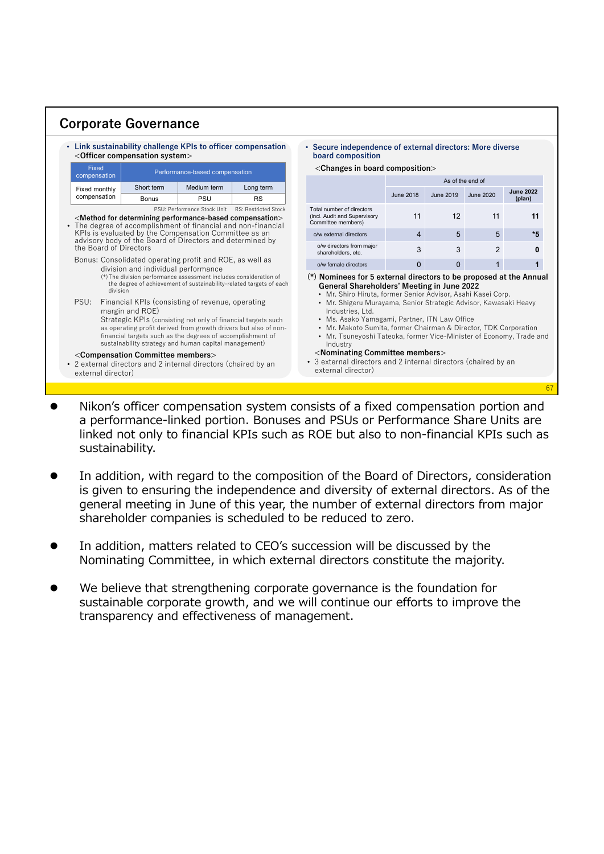|                                                                                                                                                                                                    | <officer compensation="" system=""></officer>                                                                                               |                                                                                                                                                                                                                                                                                                               | • Link sustainability challenge KPIs to officer compensation                                                                            | • Secure independence of external directors: More diverse<br>board composition                                                                                                                                                                                                                                                                                                                                                                                                                                                                                                                                   |                  |                 |           |                  |
|----------------------------------------------------------------------------------------------------------------------------------------------------------------------------------------------------|---------------------------------------------------------------------------------------------------------------------------------------------|---------------------------------------------------------------------------------------------------------------------------------------------------------------------------------------------------------------------------------------------------------------------------------------------------------------|-----------------------------------------------------------------------------------------------------------------------------------------|------------------------------------------------------------------------------------------------------------------------------------------------------------------------------------------------------------------------------------------------------------------------------------------------------------------------------------------------------------------------------------------------------------------------------------------------------------------------------------------------------------------------------------------------------------------------------------------------------------------|------------------|-----------------|-----------|------------------|
| Fixed                                                                                                                                                                                              | Performance-based compensation                                                                                                              |                                                                                                                                                                                                                                                                                                               | <changes board="" composition="" in=""></changes>                                                                                       |                                                                                                                                                                                                                                                                                                                                                                                                                                                                                                                                                                                                                  |                  |                 |           |                  |
| compensation<br>Fixed monthly<br>compensation                                                                                                                                                      |                                                                                                                                             |                                                                                                                                                                                                                                                                                                               |                                                                                                                                         |                                                                                                                                                                                                                                                                                                                                                                                                                                                                                                                                                                                                                  | As of the end of |                 |           |                  |
|                                                                                                                                                                                                    | Short term                                                                                                                                  | Medium term                                                                                                                                                                                                                                                                                                   | Long term                                                                                                                               |                                                                                                                                                                                                                                                                                                                                                                                                                                                                                                                                                                                                                  | <b>June 2018</b> | June 2019       | June 2020 | <b>June 2022</b> |
|                                                                                                                                                                                                    | <b>Bonus</b>                                                                                                                                | PSU                                                                                                                                                                                                                                                                                                           | <b>RS</b>                                                                                                                               |                                                                                                                                                                                                                                                                                                                                                                                                                                                                                                                                                                                                                  |                  |                 |           | (plan)           |
| PSU: Performance Stock Unit RS: Restricted Stock<br><method compensation="" determining="" for="" performance-based=""><br/>• The degree of accomplishment of financial and non-financial</method> |                                                                                                                                             |                                                                                                                                                                                                                                                                                                               | Total number of directors<br>(incl. Audit and Supervisory<br>Committee members)                                                         | 11                                                                                                                                                                                                                                                                                                                                                                                                                                                                                                                                                                                                               | 12               | 11              |           |                  |
| KPIs is evaluated by the Compensation Committee as an                                                                                                                                              |                                                                                                                                             |                                                                                                                                                                                                                                                                                                               |                                                                                                                                         | o/w external directors                                                                                                                                                                                                                                                                                                                                                                                                                                                                                                                                                                                           | $\overline{4}$   | $5\overline{)}$ | 5         |                  |
| advisory body of the Board of Directors and determined by<br>the Board of Directors                                                                                                                |                                                                                                                                             |                                                                                                                                                                                                                                                                                                               | o/w directors from maior<br>shareholders, etc.                                                                                          | 3                                                                                                                                                                                                                                                                                                                                                                                                                                                                                                                                                                                                                | 3                | $\overline{2}$  |           |                  |
| Bonus: Consolidated operating profit and ROE, as well as<br>division and individual performance                                                                                                    |                                                                                                                                             |                                                                                                                                                                                                                                                                                                               | o/w female directors                                                                                                                    | $\Omega$                                                                                                                                                                                                                                                                                                                                                                                                                                                                                                                                                                                                         | $\mathbf{0}$     | $\mathbf{1}$    |           |                  |
| division<br>PSU:                                                                                                                                                                                   | margin and ROE)<br><compensation committee="" members=""><br/>• 2 external directors and 2 internal directors (chaired by an</compensation> | (*) The division performance assessment includes consideration of<br>Financial KPIs (consisting of revenue, operating<br>Strategic KPIs (consisting not only of financial targets such<br>financial targets such as the degrees of accomplishment of<br>sustainability strategy and human capital management) | the degree of achievement of sustainability-related targets of each<br>as operating profit derived from growth drivers but also of non- | (*) Nominees for 5 external directors to be proposed at the Annual<br><b>General Shareholders' Meeting in June 2022</b><br>• Mr. Shiro Hiruta, former Senior Advisor, Asahi Kasei Corp.<br>• Mr. Shigeru Murayama, Senior Strategic Advisor, Kawasaki Heavy<br>Industries, Ltd.<br>• Ms. Asako Yamagami, Partner, ITN Law Office<br>• Mr. Makoto Sumita, former Chairman & Director, TDK Corporation<br>• Mr. Tsuneyoshi Tateoka, former Vice-Minister of Economy, Trade and<br>Industry<br><nominating committee="" members=""><br/>• 3 external directors and 2 internal directors (chaired by an</nominating> |                  |                 |           |                  |

 Nikon's officer compensation system consists of a fixed compensation portion and a performance-linked portion. Bonuses and PSUs or Performance Share Units are linked not only to financial KPIs such as ROE but also to non-financial KPIs such as sustainability.

67

- In addition, with regard to the composition of the Board of Directors, consideration is given to ensuring the independence and diversity of external directors. As of the general meeting in June of this year, the number of external directors from major shareholder companies is scheduled to be reduced to zero.
- In addition, matters related to CEO's succession will be discussed by the Nominating Committee, in which external directors constitute the majority.
- We believe that strengthening corporate governance is the foundation for sustainable corporate growth, and we will continue our efforts to improve the transparency and effectiveness of management.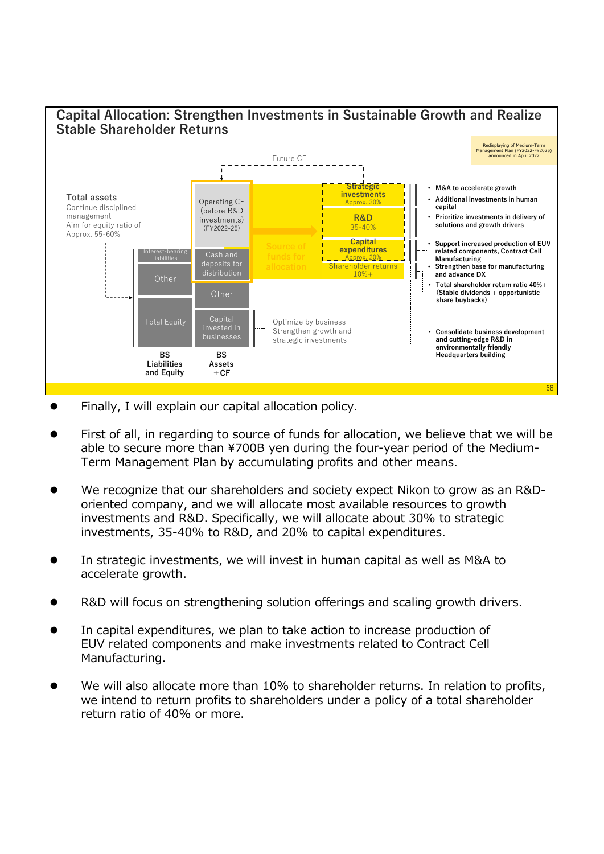

- Finally, I will explain our capital allocation policy.
- First of all, in regarding to source of funds for allocation, we believe that we will be able to secure more than ¥700B yen during the four-year period of the Medium-Term Management Plan by accumulating profits and other means.
- We recognize that our shareholders and society expect Nikon to grow as an R&Doriented company, and we will allocate most available resources to growth investments and R&D. Specifically, we will allocate about 30% to strategic investments, 35-40% to R&D, and 20% to capital expenditures.
- In strategic investments, we will invest in human capital as well as M&A to accelerate growth.
- R&D will focus on strengthening solution offerings and scaling growth drivers.
- In capital expenditures, we plan to take action to increase production of EUV related components and make investments related to Contract Cell Manufacturing.
- We will also allocate more than 10% to shareholder returns. In relation to profits, we intend to return profits to shareholders under a policy of a total shareholder return ratio of 40% or more.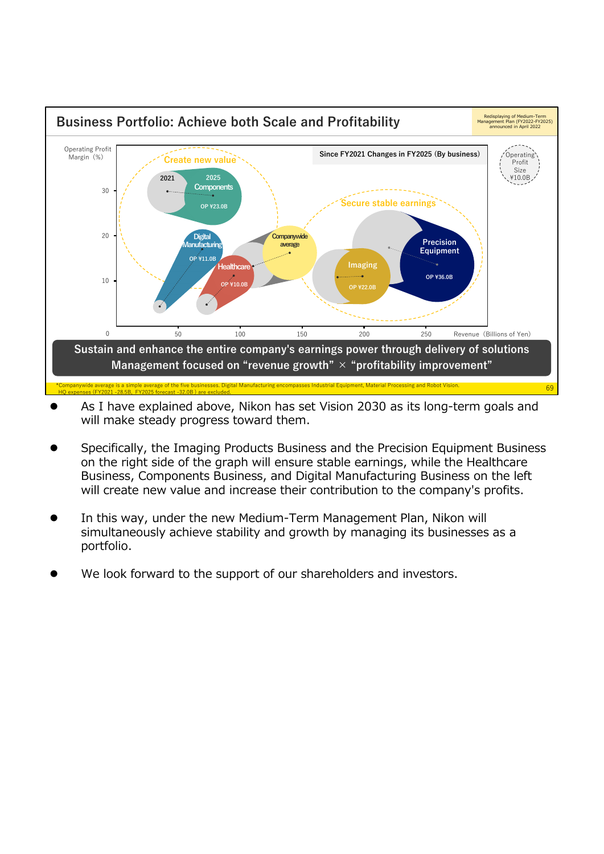

- As I have explained above, Nikon has set Vision 2030 as its long-term goals and will make steady progress toward them.
- Specifically, the Imaging Products Business and the Precision Equipment Business on the right side of the graph will ensure stable earnings, while the Healthcare Business, Components Business, and Digital Manufacturing Business on the left will create new value and increase their contribution to the company's profits.
- In this way, under the new Medium-Term Management Plan, Nikon will simultaneously achieve stability and growth by managing its businesses as a portfolio.
- We look forward to the support of our shareholders and investors.